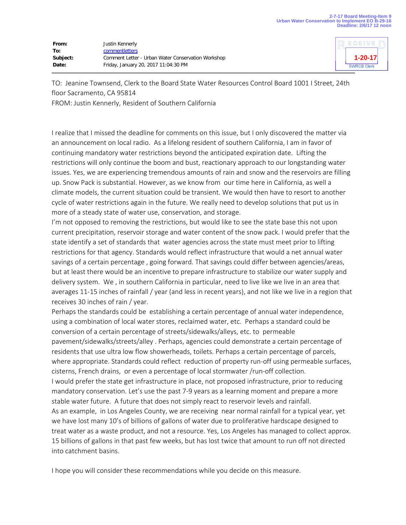| From:    | Justin Kennerly                                    |
|----------|----------------------------------------------------|
| To:      | comment letters                                    |
| Subject: | Comment Letter - Urban Water Conservation Workshop |
| Date:    | Friday, January 20, 2017 11:04:30 PM               |



TO: Jeanine Townsend, Clerk to the Board State Water Resources Control Board 1001 I Street, 24th floor Sacramento, CA 95814

FROM: Justin Kennerly, Resident of Southern California

I realize that I missed the deadline for comments on this issue, but I only discovered the matter via an announcement on local radio. As a lifelong resident of southern California, I am in favor of continuing mandatory water restrictions beyond the anticipated expiration date. Lifting the restrictions will only continue the boom and bust, reactionary approach to our longstanding water issues. Yes, we are experiencing tremendous amounts of rain and snow and the reservoirs are filling up. Snow Pack is substantial. However, as we know from our time here in California, as well a climate models, the current situation could be transient. We would then have to resort to another cycle of water restrictions again in the future. We really need to develop solutions that put us in more of a steady state of water use, conservation, and storage.

I'm not opposed to removing the restrictions, but would like to see the state base this not upon current precipitation, reservoir storage and water content of the snow pack. I would prefer that the state identify a set of standards that water agencies across the state must meet prior to lifting restrictions for that agency. Standards would reflect infrastructure that would a net annual water savings of a certain percentage , going forward. That savings could differ between agencies/areas, but at least there would be an incentive to prepare infrastructure to stabilize our water supply and delivery system. We , in southern California in particular, need to live like we live in an area that averages 11-15 inches of rainfall / year (and less in recent years), and not like we live in a region that receives 30 inches of rain / year.

Perhaps the standards could be establishing a certain percentage of annual water independence, using a combination of local water stores, reclaimed water, etc. Perhaps a standard could be conversion of a certain percentage of streets/sidewalks/alleys, etc. to permeable pavement/sidewalks/streets/alley . Perhaps, agencies could demonstrate a certain percentage of residents that use ultra low flow showerheads, toilets. Perhaps a certain percentage of parcels, where appropriate. Standards could reflect reduction of property run-off using permeable surfaces, cisterns, French drains, or even a percentage of local stormwater /run-off collection. I would prefer the state get infrastructure in place, not proposed infrastructure, prior to reducing mandatory conservation. Let's use the past 7-9 years as a learning moment and prepare a more stable water future. A future that does not simply react to reservoir levels and rainfall. As an example, in Los Angeles County, we are receiving near normal rainfall for a typical year, yet we have lost many 10's of billions of gallons of water due to proliferative hardscape designed to treat water as a waste product, and not a resource. Yes, Los Angeles has managed to collect approx. 15 billions of gallons in that past few weeks, but has lost twice that amount to run off not directed into catchment basins.

I hope you will consider these recommendations while you decide on this measure.